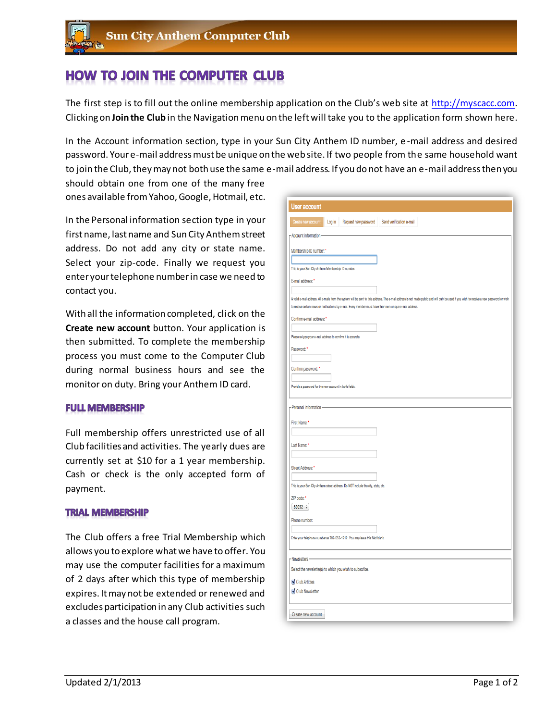# **HOW TO JOIN THE COMPUTER CLUB**

The first step is to fill out the online membership application on the Club's web site at [http://myscacc.com.](http://myscacc.com/) Clicking on **Join the Club** in the Navigation menu on the left will take you to the application form shown here.

In the Account information section, type in your Sun City Anthem ID number, e -mail address and desired password. Your e-mail address must be unique on the web site. If two people from the same household want to join the Club, they may not both use the same e-mail address. If you do not have an e-mail address then you

should obtain one from one of the many free ones available from Yahoo, Google, Hotmail, etc.

In the Personal information section type in your first name, last name and Sun City Anthem street address. Do not add any city or state name. Select your zip-code. Finally we request you enter your telephone number in case we need to contact you.

With all the information completed, click on the **Create new account** button. Your application is then submitted. To complete the membership process you must come to the Computer Club during normal business hours and see the monitor on duty. Bring your Anthem ID card.

#### **FULL MEMBERSHIP**

Full membership offers unrestricted use of all Club facilities and activities. The yearly dues are currently set at \$10 for a 1 year membership. Cash or check is the only accepted form of payment.

#### **TRIAL MEMBERSHIP**

The Club offers a free Trial Membership which allows you to explore what we have to offer. You may use the computer facilities for a maximum of 2 days after which this type of membership expires. It may not be extended or renewed and excludes participation in any Club activities such a classes and the house call program.

| Create new account                                                                                                                    | Log in | Request new password                                                              | Send verification e-mail                                                                                                                                                                   |
|---------------------------------------------------------------------------------------------------------------------------------------|--------|-----------------------------------------------------------------------------------|--------------------------------------------------------------------------------------------------------------------------------------------------------------------------------------------|
| - Account information-                                                                                                                |        |                                                                                   |                                                                                                                                                                                            |
| Membership ID number: *                                                                                                               |        |                                                                                   |                                                                                                                                                                                            |
|                                                                                                                                       |        |                                                                                   |                                                                                                                                                                                            |
| This is your Sun City Anthem Membership ID number.                                                                                    |        |                                                                                   |                                                                                                                                                                                            |
| E-mail address: *                                                                                                                     |        |                                                                                   |                                                                                                                                                                                            |
|                                                                                                                                       |        |                                                                                   | A vaid e-mail address. All e-mails from the system will be sent to this address. The e-mail address is not made public and will only be used if you wish to receive a new password or wish |
|                                                                                                                                       |        |                                                                                   | to receive certain news or notifications by e-mail. Every member must have their own unique e-mail address.                                                                                |
| Confirm e-mail address: *                                                                                                             |        |                                                                                   |                                                                                                                                                                                            |
| Please re-type your e-mail address to confirm it is accurate.                                                                         |        |                                                                                   |                                                                                                                                                                                            |
| Password: *                                                                                                                           |        |                                                                                   |                                                                                                                                                                                            |
|                                                                                                                                       |        |                                                                                   |                                                                                                                                                                                            |
| Confirm password: *                                                                                                                   |        |                                                                                   |                                                                                                                                                                                            |
|                                                                                                                                       |        |                                                                                   |                                                                                                                                                                                            |
| Provide a password for the new account in both fields.                                                                                |        |                                                                                   |                                                                                                                                                                                            |
| - Personal information                                                                                                                |        |                                                                                   |                                                                                                                                                                                            |
|                                                                                                                                       |        |                                                                                   |                                                                                                                                                                                            |
|                                                                                                                                       |        |                                                                                   |                                                                                                                                                                                            |
|                                                                                                                                       |        |                                                                                   |                                                                                                                                                                                            |
|                                                                                                                                       |        |                                                                                   |                                                                                                                                                                                            |
|                                                                                                                                       |        |                                                                                   |                                                                                                                                                                                            |
|                                                                                                                                       |        |                                                                                   |                                                                                                                                                                                            |
|                                                                                                                                       |        |                                                                                   |                                                                                                                                                                                            |
|                                                                                                                                       |        | This is your Sun City Anthem street address. Do NOT include the city, state, etc. |                                                                                                                                                                                            |
| First Name:<br>Last Name:<br>Street Address: *<br>ZIP code: *                                                                         |        |                                                                                   |                                                                                                                                                                                            |
| 89052 $\div$                                                                                                                          |        |                                                                                   |                                                                                                                                                                                            |
|                                                                                                                                       |        |                                                                                   |                                                                                                                                                                                            |
|                                                                                                                                       |        | Enter your telephone number as 702-555-1212. You may leave this field blank.      |                                                                                                                                                                                            |
|                                                                                                                                       |        |                                                                                   |                                                                                                                                                                                            |
|                                                                                                                                       |        |                                                                                   |                                                                                                                                                                                            |
|                                                                                                                                       |        |                                                                                   |                                                                                                                                                                                            |
| Phone number:<br>-Newsletters-<br>Select the newsletter(s) to which you wish to subscribe.<br><b>Club Articles</b><br>Club Newsletter |        |                                                                                   |                                                                                                                                                                                            |